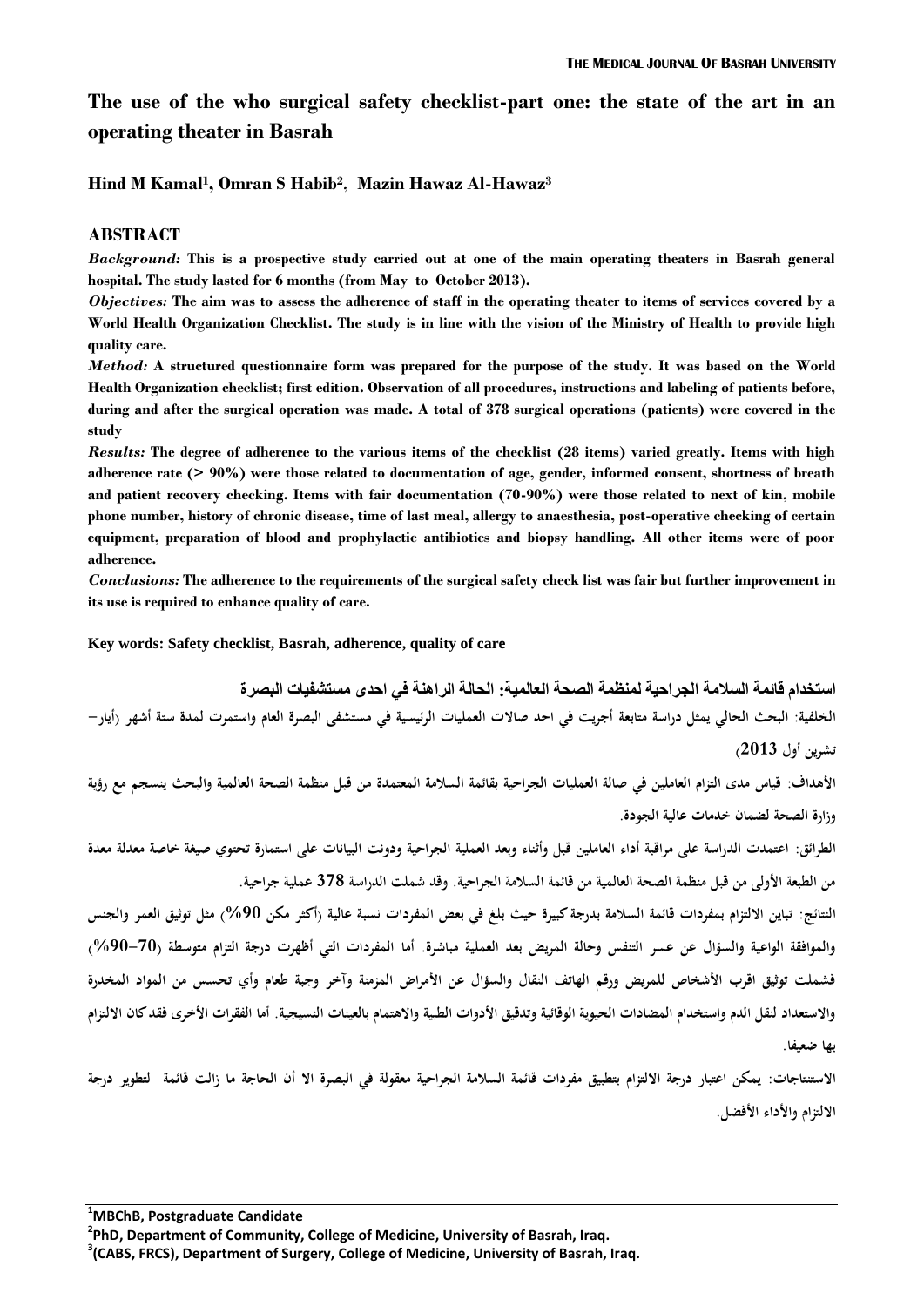# **The use of the who surgical safety checklist-part one: the state of the art in an operating theater in Basrah**

**Hind M Kamal<sup>1</sup> , Omran S Habib<sup>2</sup>** , **Mazin Hawaz Al-Hawaz<sup>3</sup>**

### **ABSTRACT**

*Background:* **This is a prospective study carried out at one of the main operating theaters in Basrah general hospital. The study lasted for 6 months (from May to October 2013).** 

*Objectives:* **The aim was to assess the adherence of staff in the operating theater to items of services covered by a World Health Organization Checklist. The study is in line with the vision of the Ministry of Health to provide high quality care.**

*Method:* **A structured questionnaire form was prepared for the purpose of the study. It was based on the World Health Organization checklist; first edition. Observation of all procedures, instructions and labeling of patients before, during and after the surgical operation was made. A total of 378 surgical operations (patients) were covered in the study**

*Results:* **The degree of adherence to the various items of the checklist (28 items) varied greatly. Items with high adherence rate (> 90%) were those related to documentation of age, gender, informed consent, shortness of breath and patient recovery checking. Items with fair documentation (70-90%) were those related to next of kin, mobile phone number, history of chronic disease, time of last meal, allergy to anaesthesia, post-operative checking of certain equipment, preparation of blood and prophylactic antibiotics and biopsy handling. All other items were of poor adherence.** 

*Conclusions:* **The adherence to the requirements of the surgical safety check list was fair but further improvement in its use is required to enhance quality of care.**

**Key words: Safety checklist, Basrah, adherence, quality of care**

**استخدام قائمة السالمة الجراحية لمنظمة الصحة العالمية: الحالة الراهنة في احدى مستشفيات البصرة الخلفية: البحث الحالي يمثل دراسة متابعة أجريت في احد صاالت العمليات الرئيسية في مستشفى البصرة العام واستمرت لمدة ستة أشهر )أيار- تشرين أول 3102(**

**األهداف: قياس مدى التزام العاملين في صالة العمليات الجراحية بقائمة السالمة المعتمدة من قبل منظمة الصحة العالمية والبحث ينسجم مع رؤية وزارة الصحة لضمان خدمات عالية الجودة.**

**الطرائق: اعتمدت الدراسة على مراقبة أداء العاملين قبل وأثناء وبعد العملية الجراحية ودونت البيانات على استمارة تحتوي صيغة خاصة معدلة معدة من الطبعة األولى من قبل منظمة الصحة العالمية من قائمة السالمة الجراحية. وقد شملت الدراسة 273 عملية جراحية.** 

**النتائج: تباين االلتزام بمفردات قائمة السالمة بدرجة كبيرة حيث بلغ في بعض المفردات نسبة عالية )أكثر مكن %01( مثل توثيق العمر والجنس والموافقة الواعية والسؤال عن عسر التنفس وحالة المريض بعد العملية مباشرة. أما المفردات التي أظهرت درجة التزام متوسطة )%01-71( فشملت توثيق اقرب األشخاص للمريض ورقم الهاتف النقال والسؤال عن األمراض المزمنة وآخر وجبة طعام وأي تحسس من المواد المخدرة واالستعداد لنقل الدم واستخدام المضادات الحيوية الوقائية وتدقيق األدوات الطبية واالهتمام بالعينات النسيجية. أما الفقرات األخرى فقد كان االلتزام بها ضعيفا.** 

**االستنتاجات: يمكن اعتبار درجة االلتزام بتطبيق مفردات قائمة السالمة الجراحية معقولة في البصرة اال أن الحاجة ما زالت قائمة لتطوير درجة االلتزام واألداء األفضل.**

**<sup>1</sup>MBChB, Postgraduate Candidate** 

**<sup>2</sup> PhD, Department of Community, College of Medicine, University of Basrah, Iraq.**

**<sup>3</sup> (CABS, FRCS), Department of Surgery, College of Medicine, University of Basrah, Iraq.**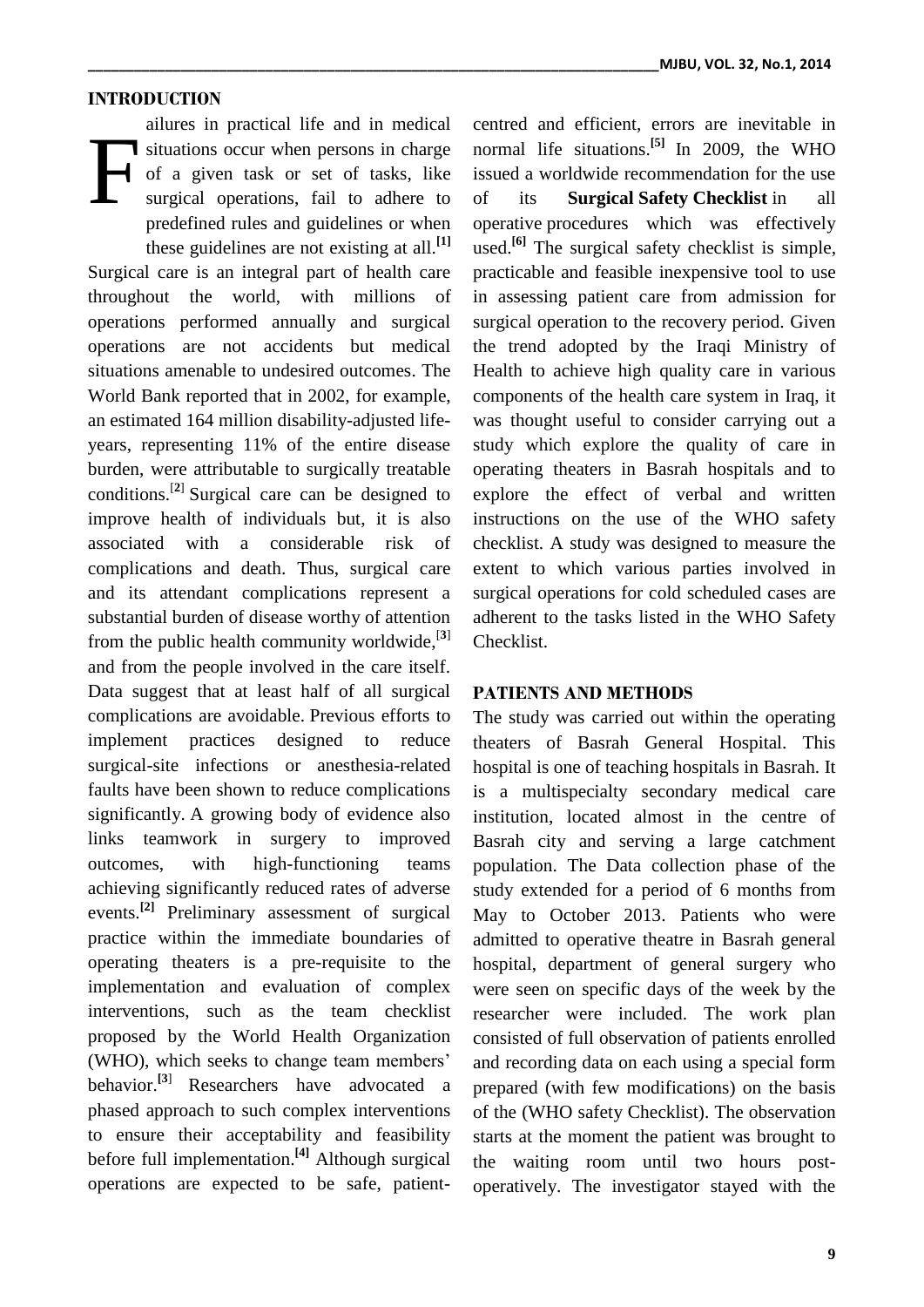#### **INTRODUCTION**

ailures in practical life and in medical situations occur when persons in charge of a given task or set of tasks, like surgical operations, fail to adhere to predefined rules and guidelines or when these guidelines are not existing at all.**[1]** Surgical care is an integral part of health care throughout the world, with millions of operations performed annually and surgical operations are not accidents but medical situations amenable to undesired outcomes. The World Bank reported that in 2002, for example, an estimated 164 million disability-adjusted lifeyears, representing 11% of the entire disease burden, were attributable to surgically treatable conditions.[**[2](http://www.nejm.org/doi/full/10.1056/NEJMsa0810119#ref3)**] Surgical care can be designed to improve health of individuals but, it is also associated with a considerable risk of complications and death. Thus, surgical care and its attendant complications represent a substantial burden of disease worthy of attention from the public health community worldwide, [**3**] and from the people involved in the care itself. Data suggest that at least half of all surgical complications are avoidable. Previous efforts to implement practices designed to reduce surgical-site infections or anesthesia-related faults have been shown to reduce complications significantly. A growing body of evidence also links teamwork in surgery to improved outcomes, with high-functioning teams achieving significantly reduced rates of adverse events.**[2]** Preliminary assessment of surgical practice within the immediate boundaries of operating theaters is a pre-requisite to the implementation and evaluation of complex interventions, such as the team checklist proposed by the World Health Organization (WHO), which seeks to change team members' behavior.**[3**] Researchers have advocated a phased approach to such complex interventions to ensure their acceptability and feasibility before full implementation. **[4]** Although surgical operations are expected to be safe, patient-F

centred and efficient, errors are inevitable in normal life situations. **[5]** In 2009, the WHO issued a worldwide recommendation for the use of its **Surgical Safety Checklist** in all operative procedures which was effectively used. **[6]** The surgical safety checklist is simple, practicable and feasible inexpensive tool to use in assessing patient care from admission for surgical operation to the recovery period. Given the trend adopted by the Iraqi Ministry of Health to achieve high quality care in various components of the health care system in Iraq, it was thought useful to consider carrying out a study which explore the quality of care in operating theaters in Basrah hospitals and to explore the effect of verbal and written instructions on the use of the WHO safety checklist. A study was designed to measure the extent to which various parties involved in surgical operations for cold scheduled cases are adherent to the tasks listed in the WHO Safety Checklist.

### **PATIENTS AND METHODS**

The study was carried out within the operating theaters of Basrah General Hospital. This hospital is one of teaching hospitals in Basrah. It is a multispecialty secondary medical care institution, located almost in the centre of Basrah city and serving a large catchment population. The Data collection phase of the study extended for a period of 6 months from May to October 2013. Patients who were admitted to operative theatre in Basrah general hospital, department of general surgery who were seen on specific days of the week by the researcher were included. The work plan consisted of full observation of patients enrolled and recording data on each using a special form prepared (with few modifications) on the basis of the (WHO safety Checklist). The observation starts at the moment the patient was brought to the waiting room until two hours postoperatively. The investigator stayed with the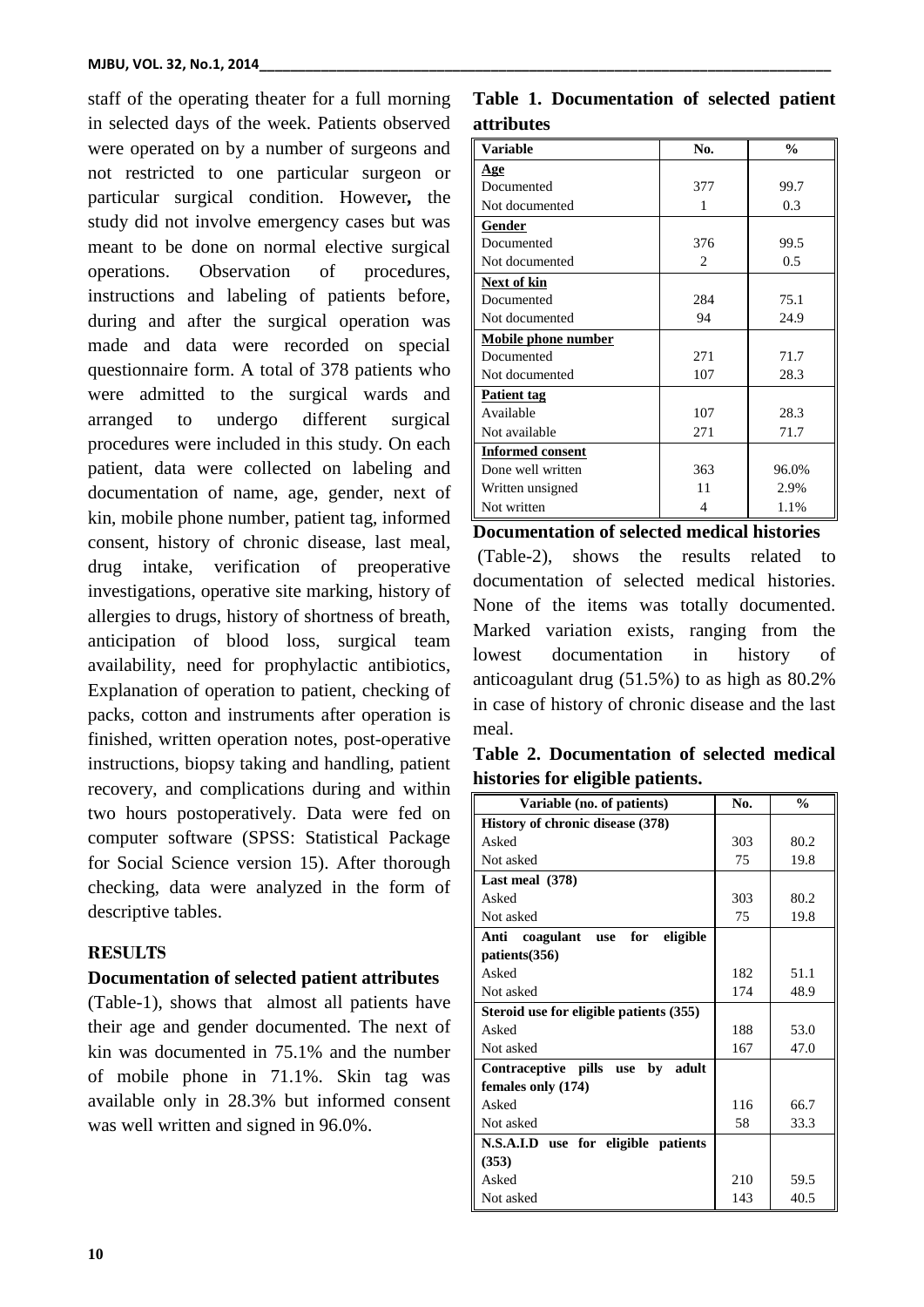staff of the operating theater for a full morning in selected days of the week. Patients observed were operated on by a number of surgeons and not restricted to one particular surgeon or particular surgical condition. However*,* the study did not involve emergency cases but was meant to be done on normal elective surgical operations. Observation of procedures, instructions and labeling of patients before, during and after the surgical operation was made and data were recorded on special questionnaire form. A total of 378 patients who were admitted to the surgical wards and arranged to undergo different surgical procedures were included in this study. On each patient, data were collected on labeling and documentation of name, age, gender, next of kin, mobile phone number, patient tag, informed consent, history of chronic disease, last meal, drug intake, verification of preoperative investigations, operative site marking, history of allergies to drugs, history of shortness of breath, anticipation of blood loss, surgical team availability, need for prophylactic antibiotics, Explanation of operation to patient, checking of packs, cotton and instruments after operation is finished, written operation notes, post-operative instructions, biopsy taking and handling, patient recovery, and complications during and within two hours postoperatively. Data were fed on computer software (SPSS: Statistical Package for Social Science version 15). After thorough checking, data were analyzed in the form of descriptive tables.

## **RESULTS**

### **Documentation of selected patient attributes**

(Table-1), shows that almost all patients have their age and gender documented. The next of kin was documented in 75.1% and the number of mobile phone in 71.1%. Skin tag was available only in 28.3% but informed consent was well written and signed in 96.0%.

## **Table 1. Documentation of selected patient attributes**

| Variable                   | No.            | $\frac{0}{0}$ |
|----------------------------|----------------|---------------|
| <u>Age</u>                 |                |               |
| Documented                 | 377            | 99.7          |
| Not documented             | 1              | 0.3           |
| Gender                     |                |               |
| Documented                 | 376            | 99.5          |
| Not documented             | $\mathfrak{D}$ | 0.5           |
| Next of kin                |                |               |
| Documented                 | 284            | 75.1          |
| Not documented             | 94             | 24.9          |
| <b>Mobile phone number</b> |                |               |
| Documented                 | 271            | 71.7          |
| Not documented             | 107            | 28.3          |
| <b>Patient tag</b>         |                |               |
| Available                  | 107            | 28.3          |
| Not available              | 271            | 71.7          |
| <b>Informed consent</b>    |                |               |
| Done well written          | 363            | 96.0%         |
| Written unsigned           | 11             | 2.9%          |
| Not written                | 4              | 1.1%          |

**Documentation of selected medical histories** 

(Table-2), shows the results related to documentation of selected medical histories. None of the items was totally documented. Marked variation exists, ranging from the lowest documentation in history of anticoagulant drug (51.5%) to as high as 80.2% in case of history of chronic disease and the last meal.

**Table 2. Documentation of selected medical histories for eligible patients.**

| Variable (no. of patients)                  | No. | $\frac{0}{0}$ |
|---------------------------------------------|-----|---------------|
| History of chronic disease (378)            |     |               |
| Asked                                       | 303 | 80.2          |
| Not asked                                   | 75  | 19.8          |
| Last meal $(378)$                           |     |               |
| Asked                                       | 303 | 80.2          |
| Not asked                                   | 75  | 19.8          |
| eligible<br>Anti<br>coagulant<br>for<br>use |     |               |
| patients (356)                              |     |               |
| Asked                                       | 182 | 51.1          |
| Not asked                                   | 174 | 48.9          |
| Steroid use for eligible patients (355)     |     |               |
| Asked                                       | 188 | 53.0          |
| Not asked                                   | 167 | 47.0          |
| by adult<br>Contraceptive pills use         |     |               |
| females only (174)                          |     |               |
| Asked                                       | 116 | 66.7          |
| Not asked                                   | 58  | 33.3          |
| N.S.A.I.D use for eligible patients         |     |               |
| (353)                                       |     |               |
| Asked                                       | 210 | 59.5          |
| Not asked                                   | 143 | 40.5          |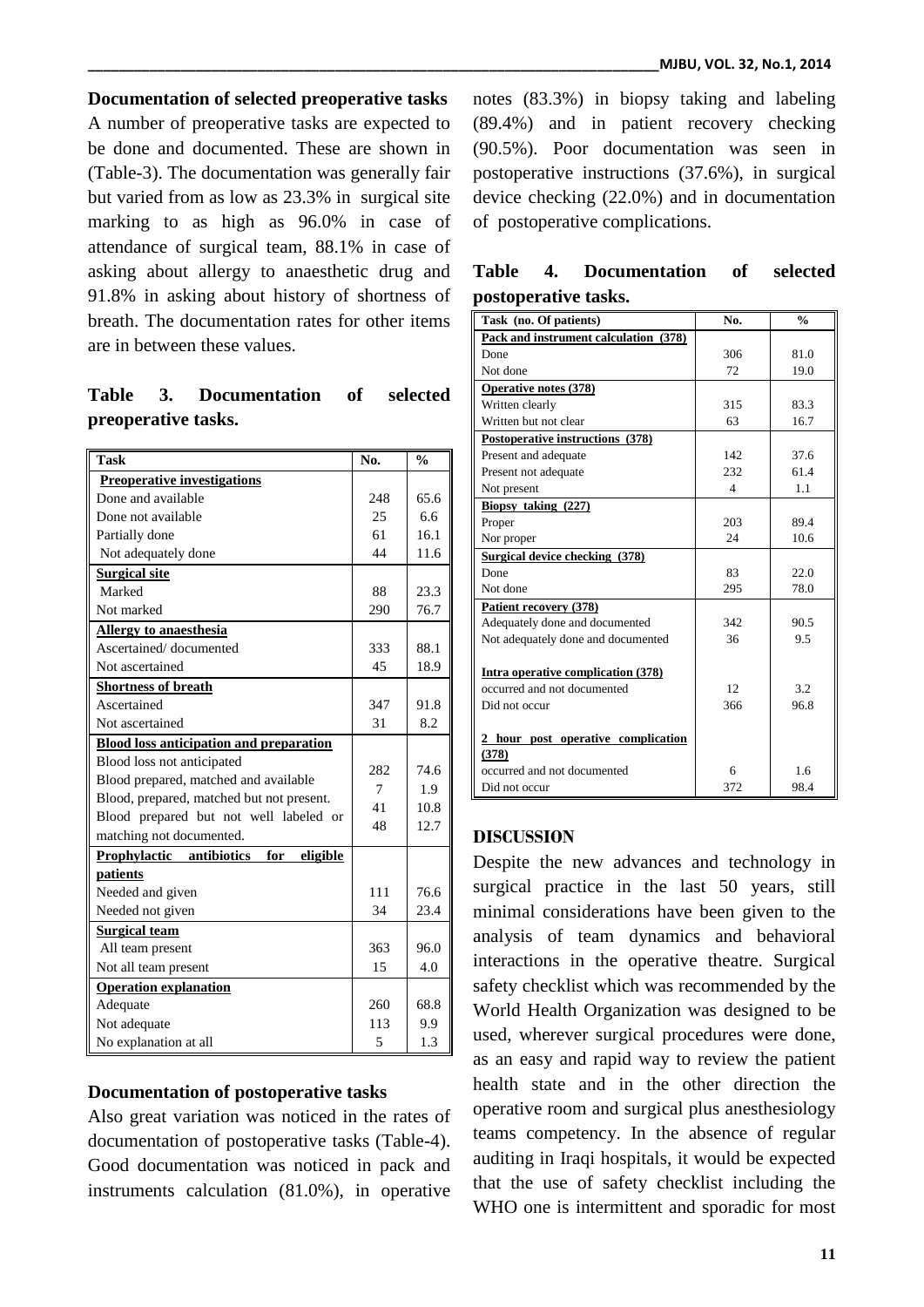## **Documentation of selected preoperative tasks**

A number of preoperative tasks are expected to be done and documented. These are shown in (Table-3). The documentation was generally fair but varied from as low as 23.3% in surgical site marking to as high as 96.0% in case of attendance of surgical team, 88.1% in case of asking about allergy to anaesthetic drug and 91.8% in asking about history of shortness of breath. The documentation rates for other items are in between these values.

## **Table 3. Documentation of selected preoperative tasks.**

| <b>Task</b>                                    | No. | $\frac{0}{0}$ |
|------------------------------------------------|-----|---------------|
| <b>Preoperative investigations</b>             |     |               |
| Done and available                             | 248 | 65.6          |
| Done not available                             | 25  | 6.6           |
| Partially done                                 | 61  | 16.1          |
| Not adequately done                            | 44  | 11.6          |
| <b>Surgical site</b>                           |     |               |
| Marked                                         | 88  | 23.3          |
| Not marked                                     | 290 | 76.7          |
| <b>Allergy to anaesthesia</b>                  |     |               |
| Ascertained/documented                         | 333 | 88.1          |
| Not ascertained                                | 45  | 18.9          |
| <b>Shortness of breath</b>                     |     |               |
| Ascertained                                    | 347 | 91.8          |
| Not ascertained                                | 31  | 8.2           |
| <b>Blood loss anticipation and preparation</b> |     |               |
| Blood loss not anticipated                     | 282 | 74.6          |
| Blood prepared, matched and available          | 7   | 1.9           |
| Blood, prepared, matched but not present.      | 41  | 10.8          |
| Blood prepared but not well labeled or         | 48  | 12.7          |
| matching not documented.                       |     |               |
| Prophylactic<br>antibiotics<br>for<br>eligible |     |               |
| patients                                       |     |               |
| Needed and given                               | 111 | 76.6          |
| Needed not given                               | 34  | 23.4          |
| <b>Surgical team</b>                           |     |               |
| All team present                               | 363 | 96.0          |
| Not all team present                           | 15  | 4.0           |
| <b>Operation explanation</b>                   |     |               |
| Adequate                                       | 260 | 68.8          |
| Not adequate                                   | 113 | 9.9           |
| No explanation at all                          | 5   | 1.3           |

### **Documentation of postoperative tasks**

Also great variation was noticed in the rates of documentation of postoperative tasks (Table-4). Good documentation was noticed in pack and instruments calculation (81.0%), in operative notes (83.3%) in biopsy taking and labeling (89.4%) and in patient recovery checking (90.5%). Poor documentation was seen in postoperative instructions (37.6%), in surgical device checking (22.0%) and in documentation of postoperative complications.

| Task (no. Of patients)                    | No. | $\frac{0}{n}$ |
|-------------------------------------------|-----|---------------|
| Pack and instrument calculation (378)     |     |               |
| Done                                      | 306 | 81.0          |
| Not done                                  | 72  | 19.0          |
| <b>Operative notes (378)</b>              |     |               |
| Written clearly                           | 315 | 83.3          |
| Written but not clear                     | 63  | 16.7          |
| Postoperative instructions (378)          |     |               |
| Present and adequate                      | 142 | 37.6          |
| Present not adequate                      | 232 | 61.4          |
| Not present                               | 4   | 1.1           |
| Biopsy taking (227)                       |     |               |
| Proper                                    | 203 | 89.4          |
| Nor proper                                | 24  | 10.6          |
| <b>Surgical device checking (378)</b>     |     |               |
| Done                                      | 83  | 22.0          |
| Not done                                  | 295 | 78.0          |
| Patient recovery (378)                    |     |               |
| Adequately done and documented            | 342 | 90.5          |
| Not adequately done and documented        | 36  | 9.5           |
| <b>Intra operative complication (378)</b> |     |               |
| occurred and not documented               | 12  | 32            |
| Did not occur                             | 366 | 96.8          |
| 2 hour post operative complication        |     |               |
| (378)                                     |     |               |
| occurred and not documented               | 6   | 1.6           |
| Did not occur                             | 372 | 98.4          |

## **Table 4. Documentation of selected postoperative tasks.**

#### **DISCUSSION**

Despite the new advances and technology in surgical practice in the last 50 years, still minimal considerations have been given to the analysis of team dynamics and behavioral interactions in the operative theatre. Surgical safety checklist which was recommended by the World Health Organization was designed to be used, wherever surgical procedures were done, as an easy and rapid way to review the patient health state and in the other direction the operative room and surgical plus anesthesiology teams competency. In the absence of regular auditing in Iraqi hospitals, it would be expected that the use of safety checklist including the WHO one is intermittent and sporadic for most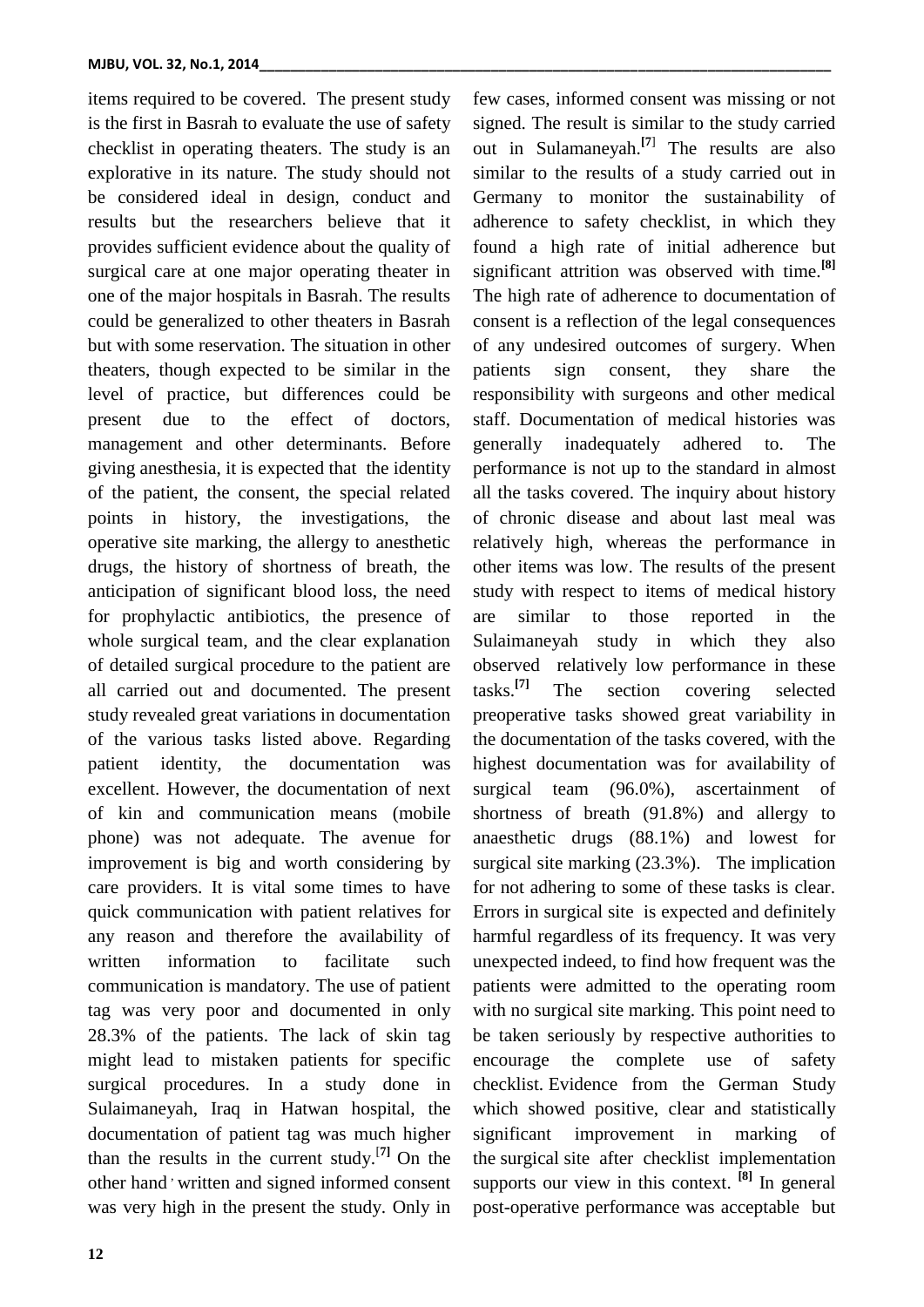items required to be covered. The present study is the first in Basrah to evaluate the use of safety checklist in operating theaters. The study is an explorative in its nature. The study should not be considered ideal in design, conduct and results but the researchers believe that it provides sufficient evidence about the quality of surgical care at one major operating theater in one of the major hospitals in Basrah. The results could be generalized to other theaters in Basrah but with some reservation. The situation in other theaters, though expected to be similar in the level of practice, but differences could be present due to the effect of doctors, management and other determinants. Before giving anesthesia, it is expected that the identity of the patient, the consent, the special related points in history, the investigations, the operative site marking, the allergy to anesthetic drugs, the history of shortness of breath, the anticipation of significant blood loss, the need for prophylactic antibiotics, the presence of whole surgical team, and the clear explanation of detailed surgical procedure to the patient are all carried out and documented. The present study revealed great variations in documentation of the various tasks listed above. Regarding patient identity, the documentation was excellent. However, the documentation of next of kin and communication means (mobile phone) was not adequate. The avenue for improvement is big and worth considering by care providers. It is vital some times to have quick communication with patient relatives for any reason and therefore the availability of written information to facilitate such communication is mandatory. The use of patient tag was very poor and documented in only 28.3% of the patients. The lack of skin tag might lead to mistaken patients for specific surgical procedures. In a study done in Sulaimaneyah, Iraq in Hatwan hospital, the documentation of patient tag was much higher than the results in the current study.[**7]** On the other hand ' written and signed informed consent was very high in the present the study. Only in

**12**

few cases, informed consent was missing or not signed. The result is similar to the study carried out in Sulamaneyah.**[7**] The results are also similar to the results of a study carried out in Germany to monitor the sustainability of adherence to safety checklist, in which they found a high rate of initial adherence but significant attrition was observed with time.**[8]** The high rate of adherence to documentation of consent is a reflection of the legal consequences of any undesired outcomes of surgery. When patients sign consent, they share the responsibility with surgeons and other medical staff. Documentation of medical histories was generally inadequately adhered to. The performance is not up to the standard in almost all the tasks covered. The inquiry about history of chronic disease and about last meal was relatively high, whereas the performance in other items was low. The results of the present study with respect to items of medical history are similar to those reported in the Sulaimaneyah study in which they also observed relatively low performance in these tasks.**[7]** section covering selected preoperative tasks showed great variability in the documentation of the tasks covered, with the highest documentation was for availability of surgical team (96.0%), ascertainment of shortness of breath (91.8%) and allergy to anaesthetic drugs (88.1%) and lowest for surgical site marking (23.3%). The implication for not adhering to some of these tasks is clear. Errors in surgical site is expected and definitely harmful regardless of its frequency. It was very unexpected indeed, to find how frequent was the patients were admitted to the operating room with no surgical site marking. This point need to be taken seriously by respective authorities to encourage the complete use of safety checklist. Evidence from the German Study which showed positive, clear and statistically significant improvement in marking of the surgical site after checklist implementation supports our view in this context. **[8]** In general

post-operative performance was acceptable but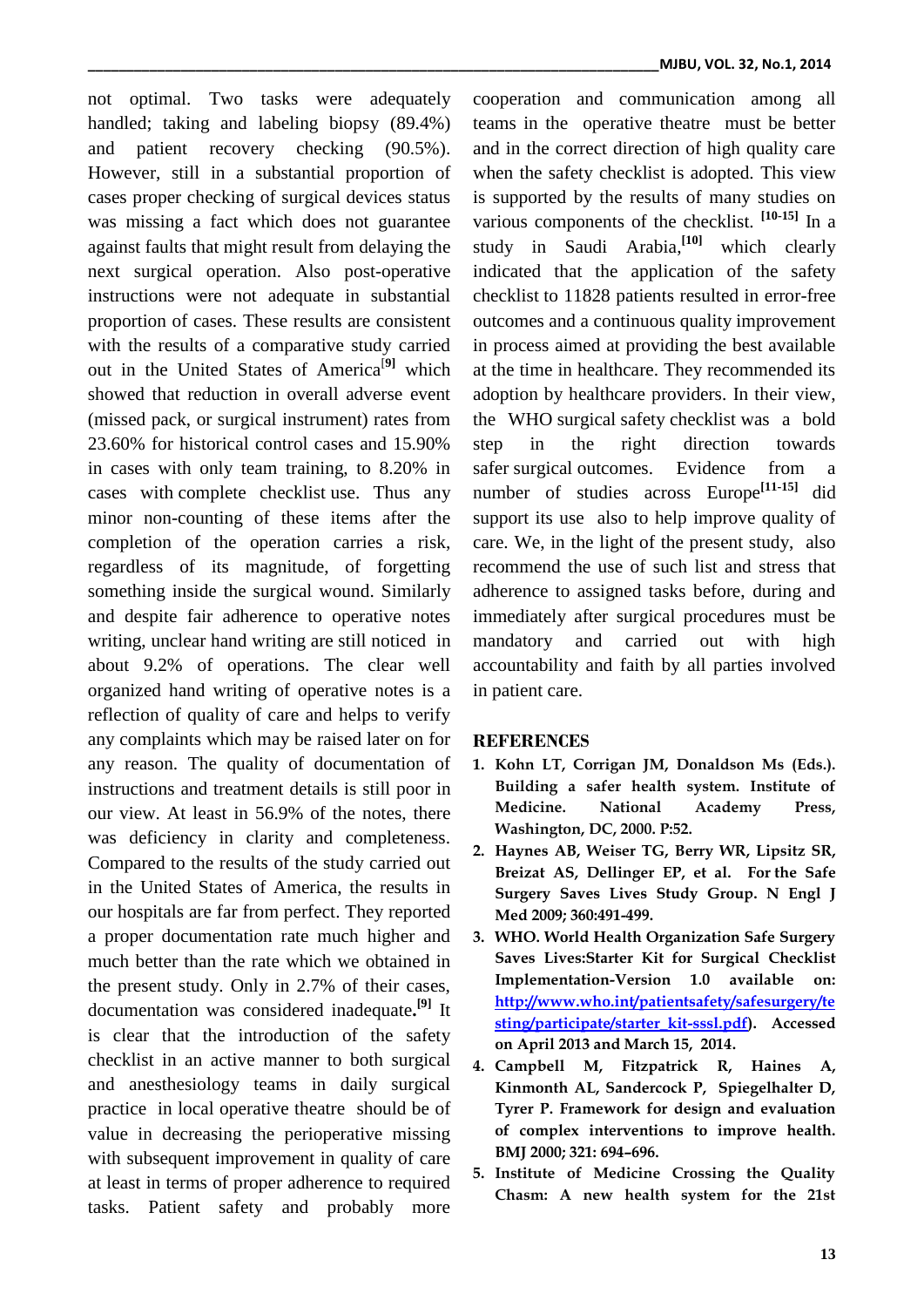not optimal. Two tasks were adequately handled; taking and labeling biopsy (89.4%) and patient recovery checking (90.5%). However, still in a substantial proportion of cases proper checking of surgical devices status was missing a fact which does not guarantee against faults that might result from delaying the next surgical operation. Also post-operative instructions were not adequate in substantial proportion of cases. These results are consistent with the results of a comparative study carried out in the United States of America[**9]** which showed that reduction in overall adverse event (missed pack, or surgical instrument) rates from 23.60% for historical control cases and 15.90% in cases with only team training, to 8.20% in cases with complete checklist use. Thus any minor non-counting of these items after the completion of the operation carries a risk, regardless of its magnitude, of forgetting something inside the surgical wound. Similarly and despite fair adherence to operative notes writing, unclear hand writing are still noticed in about 9.2% of operations. The clear well organized hand writing of operative notes is a reflection of quality of care and helps to verify any complaints which may be raised later on for any reason. The quality of documentation of instructions and treatment details is still poor in our view. At least in 56.9% of the notes, there was deficiency in clarity and completeness. Compared to the results of the study carried out in the United States of America, the results in our hospitals are far from perfect. They reported a proper documentation rate much higher and much better than the rate which we obtained in the present study. Only in 2.7% of their cases, documentation was considered inadequate**. [9]** It is clear that the introduction of the safety checklist in an active manner to both surgical and anesthesiology teams in daily surgical practice in local operative theatre should be of value in decreasing the perioperative missing with subsequent improvement in quality of care at least in terms of proper adherence to required tasks. Patient safety and probably more

cooperation and communication among all teams in the operative theatre must be better and in the correct direction of high quality care when the safety checklist is adopted. This view is supported by the results of many studies on various components of the checklist. **[10-15]** In a study in Saudi Arabia, **[10]** which clearly indicated that the application of the safety checklist to 11828 patients resulted in error-free outcomes and a continuous quality improvement in process aimed at providing the best available at the time in healthcare. They recommended its adoption by healthcare providers. In their view, the WHO surgical safety checklist was a bold step in the right direction towards safer surgical outcomes. Evidence from a number of studies across Europe**[11-15]** did support its use also to help improve quality of care. We, in the light of the present study, also recommend the use of such list and stress that adherence to assigned tasks before, during and immediately after surgical procedures must be mandatory and carried out with high accountability and faith by all parties involved in patient care.

## **REFERENCES**

- **1. Kohn LT, Corrigan JM, Donaldson Ms (Eds.). Building a safer health system. Institute of Medicine. National Academy Press, Washington, DC, 2000. P:52.**
- **2. Haynes AB, Weiser TG, Berry WR, Lipsitz SR, Breizat AS, Dellinger EP, et al. For the Safe Surgery Saves Lives Study Group. N Engl J Med 2009; 360:491-499.**
- **3. WHO. World Health Organization Safe Surgery Saves Lives:Starter Kit for Surgical Checklist Implementation-Version 1.0 available on: [http://www.who.int/patientsafety/safesurgery/te](http://www.who.int/patientsafety/safesurgery/testing/participate/starter_kit-sssl.pdf) [sting/participate/starter\\_kit-sssl.pdf\)](http://www.who.int/patientsafety/safesurgery/testing/participate/starter_kit-sssl.pdf). Accessed on April 2013 and March 15, 2014.**
- **4. Campbell M, Fitzpatrick R, Haines A, Kinmonth AL, Sandercock P, Spiegelhalter D, Tyrer P. Framework for design and evaluation of complex interventions to improve health. BMJ 2000; 321: 694–696.**
- **5. Institute of Medicine Crossing the Quality Chasm: A new health system for the 21st**